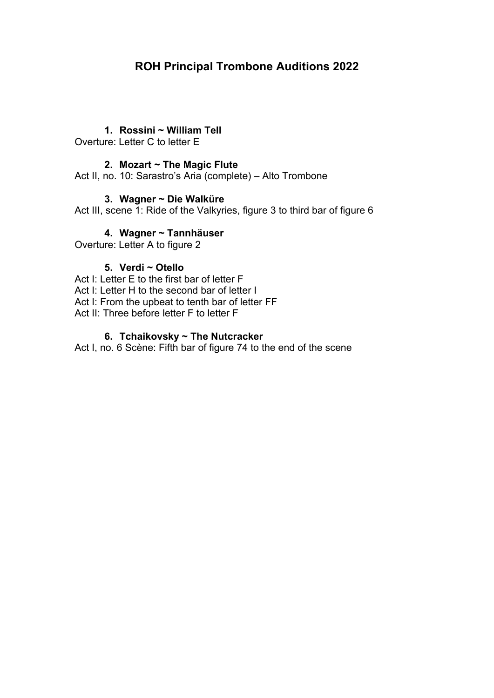# **ROH Principal Trombone Auditions 2022**

### **1. Rossini ~ William Tell**

Overture: Letter C to letter E

### **2. Mozart ~ The Magic Flute**

Act II, no. 10: Sarastro's Aria (complete) – Alto Trombone

### **3. Wagner ~ Die Walküre**

Act III, scene 1: Ride of the Valkyries, figure 3 to third bar of figure 6

# **4. Wagner ~ Tannhäuser**

Overture: Letter A to figure 2

# **5. Verdi ~ Otello**

Act I: Letter E to the first bar of letter F Act I: Letter H to the second bar of letter I Act I: From the upbeat to tenth bar of letter FF Act II: Three before letter F to letter F

### **6. Tchaikovsky ~ The Nutcracker**

Act I, no. 6 Scène: Fifth bar of figure 74 to the end of the scene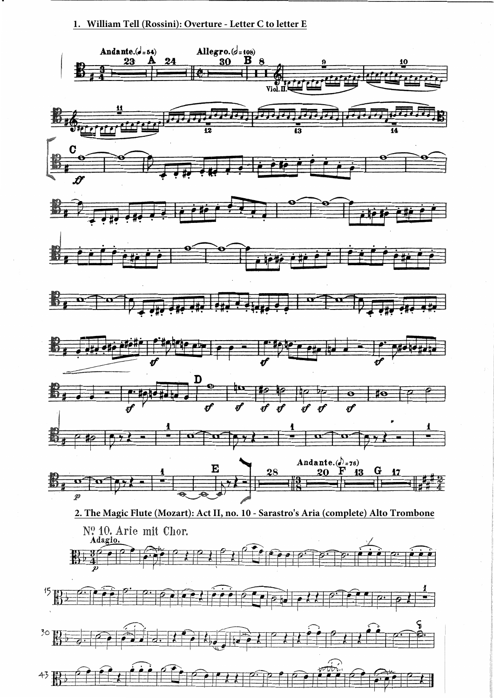**1. William Tell (Rossini): Overture - Letter C to letter E**

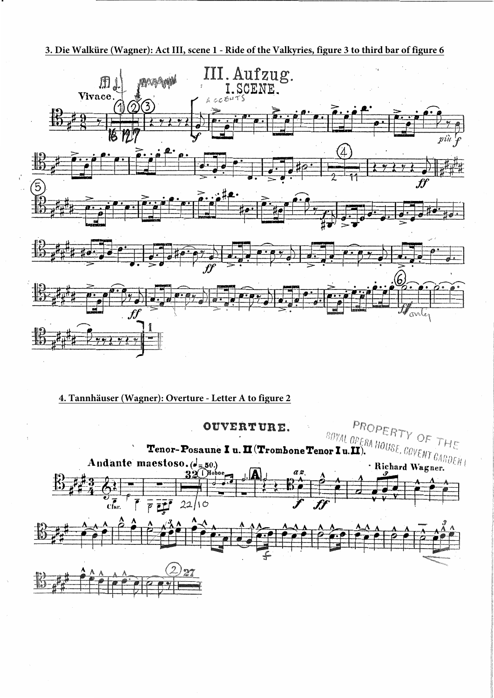#### **3. Die Walküre (Wagner): Act III, scene 1 - Ride of the Valkyries, figure 3 to third bar of figure 6**



#### **4. Tannhäuser (Wagner): Overture - Letter A to figure 2**

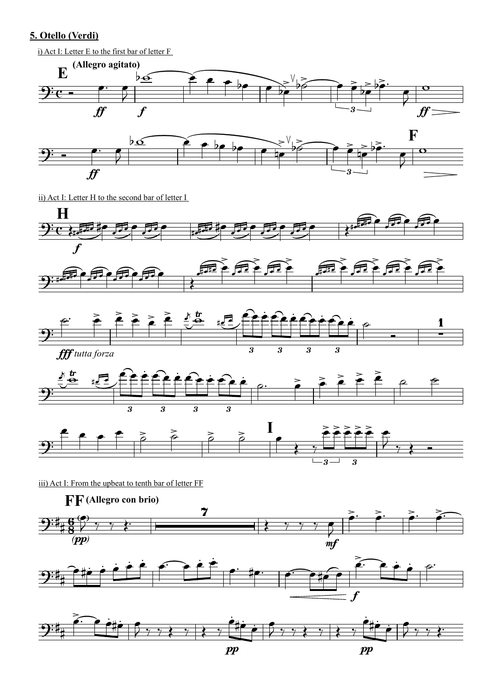### 5. Otello (Verdi)

i) Act I: Letter E to the first bar of letter F



ii) Act I: Letter H to the second bar of letter I



iii) Act I: From the upbeat to tenth bar of letter FF